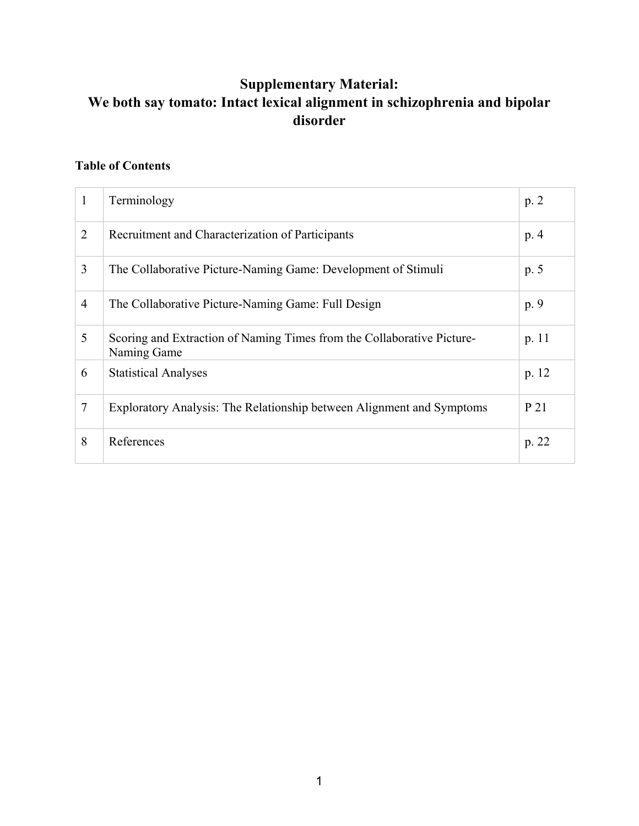# **Supplementary Material: We both say tomato: Intact lexical alignment in schizophrenia and bipolar disorder**

# **Table of Contents**

| 1              | Terminology                                                                           | p.2     |
|----------------|---------------------------------------------------------------------------------------|---------|
| $\overline{2}$ | Recruitment and Characterization of Participants                                      | p. 4    |
| 3              | The Collaborative Picture-Naming Game: Development of Stimuli                         | p. 5    |
| $\overline{4}$ | The Collaborative Picture-Naming Game: Full Design                                    | p. 9    |
| 5              | Scoring and Extraction of Naming Times from the Collaborative Picture-<br>Naming Game | p. $11$ |
| 6              | <b>Statistical Analyses</b>                                                           | p. 12   |
| 7              | Exploratory Analysis: The Relationship between Alignment and Symptoms                 | P 21    |
| 8              | References                                                                            | p. 22   |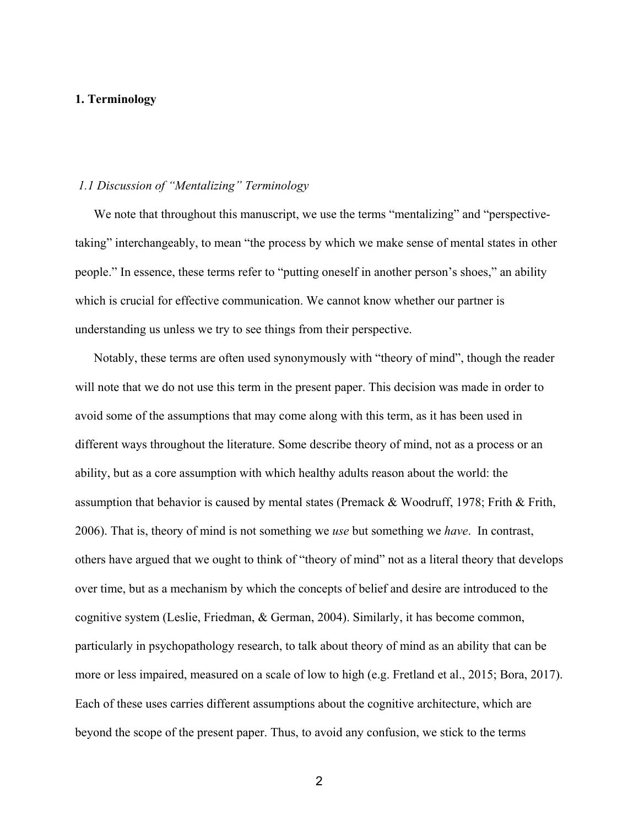## **1. Terminology**

## *1.1 Discussion of "Mentalizing" Terminology*

We note that throughout this manuscript, we use the terms "mentalizing" and "perspectivetaking" interchangeably, to mean "the process by which we make sense of mental states in other people." In essence, these terms refer to "putting oneself in another person's shoes," an ability which is crucial for effective communication. We cannot know whether our partner is understanding us unless we try to see things from their perspective.

Notably, these terms are often used synonymously with "theory of mind", though the reader will note that we do not use this term in the present paper. This decision was made in order to avoid some of the assumptions that may come along with this term, as it has been used in different ways throughout the literature. Some describe theory of mind, not as a process or an ability, but as a core assumption with which healthy adults reason about the world: the assumption that behavior is caused by mental states (Premack & Woodruff, 1978; Frith & Frith, 2006). That is, theory of mind is not something we *use* but something we *have*. In contrast, others have argued that we ought to think of "theory of mind" not as a literal theory that develops over time, but as a mechanism by which the concepts of belief and desire are introduced to the cognitive system (Leslie, Friedman, & German, 2004). Similarly, it has become common, particularly in psychopathology research, to talk about theory of mind as an ability that can be more or less impaired, measured on a scale of low to high (e.g. Fretland et al., 2015; Bora, 2017). Each of these uses carries different assumptions about the cognitive architecture, which are beyond the scope of the present paper. Thus, to avoid any confusion, we stick to the terms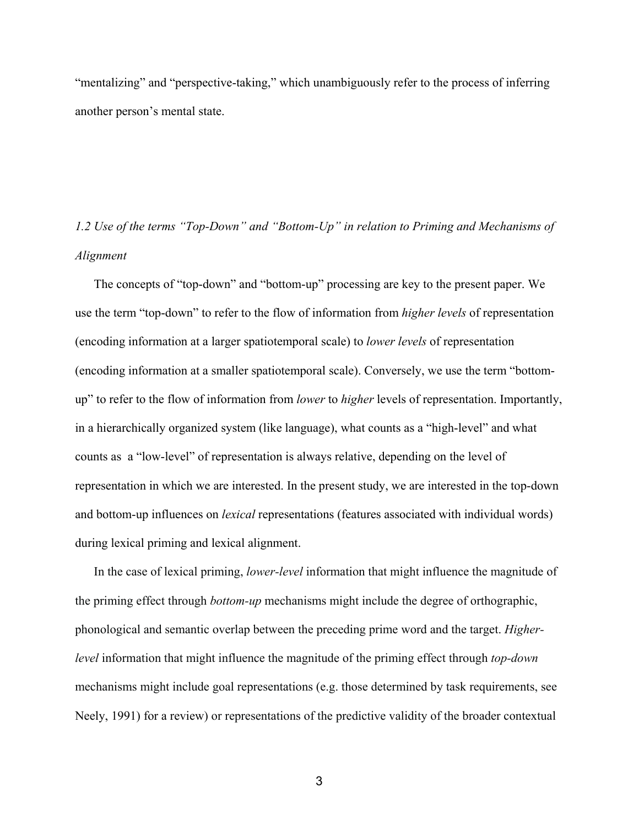"mentalizing" and "perspective-taking," which unambiguously refer to the process of inferring another person's mental state.

# *1.2 Use of the terms "Top-Down" and "Bottom-Up" in relation to Priming and Mechanisms of Alignment*

The concepts of "top-down" and "bottom-up" processing are key to the present paper. We use the term "top-down" to refer to the flow of information from *higher levels* of representation (encoding information at a larger spatiotemporal scale) to *lower levels* of representation (encoding information at a smaller spatiotemporal scale). Conversely, we use the term "bottomup" to refer to the flow of information from *lower* to *higher* levels of representation. Importantly, in a hierarchically organized system (like language), what counts as a "high-level" and what counts as a "low-level" of representation is always relative, depending on the level of representation in which we are interested. In the present study, we are interested in the top-down and bottom-up influences on *lexical* representations (features associated with individual words) during lexical priming and lexical alignment.

In the case of lexical priming, *lower-level* information that might influence the magnitude of the priming effect through *bottom-up* mechanisms might include the degree of orthographic, phonological and semantic overlap between the preceding prime word and the target. *Higherlevel* information that might influence the magnitude of the priming effect through *top-down*  mechanisms might include goal representations (e.g. those determined by task requirements, see Neely, 1991) for a review) or representations of the predictive validity of the broader contextual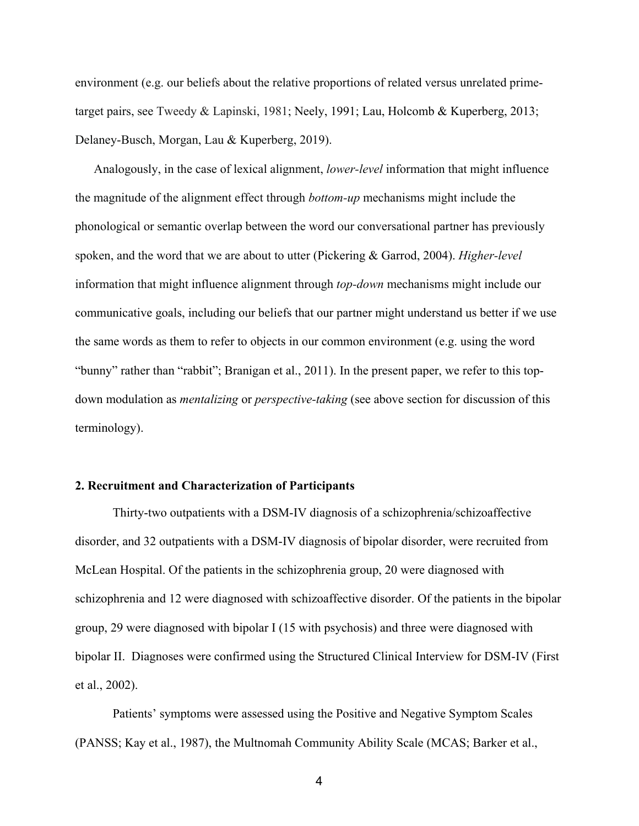environment (e.g. our beliefs about the relative proportions of related versus unrelated primetarget pairs, see Tweedy & Lapinski, 1981; Neely, 1991; Lau, Holcomb & Kuperberg, 2013; Delaney-Busch, Morgan, Lau & Kuperberg, 2019).

Analogously, in the case of lexical alignment, *lower-level* information that might influence the magnitude of the alignment effect through *bottom-up* mechanisms might include the phonological or semantic overlap between the word our conversational partner has previously spoken, and the word that we are about to utter (Pickering & Garrod, 2004). *Higher-level* information that might influence alignment through *top-down* mechanisms might include our communicative goals, including our beliefs that our partner might understand us better if we use the same words as them to refer to objects in our common environment (e.g. using the word "bunny" rather than "rabbit"; Branigan et al., 2011). In the present paper, we refer to this topdown modulation as *mentalizing* or *perspective-taking* (see above section for discussion of this terminology).

## **2. Recruitment and Characterization of Participants**

Thirty-two outpatients with a DSM-IV diagnosis of a schizophrenia/schizoaffective disorder, and 32 outpatients with a DSM-IV diagnosis of bipolar disorder, were recruited from McLean Hospital. Of the patients in the schizophrenia group, 20 were diagnosed with schizophrenia and 12 were diagnosed with schizoaffective disorder. Of the patients in the bipolar group, 29 were diagnosed with bipolar I (15 with psychosis) and three were diagnosed with bipolar II. Diagnoses were confirmed using the Structured Clinical Interview for DSM-IV (First et al., 2002).

Patients' symptoms were assessed using the Positive and Negative Symptom Scales (PANSS; Kay et al., 1987), the Multnomah Community Ability Scale (MCAS; Barker et al.,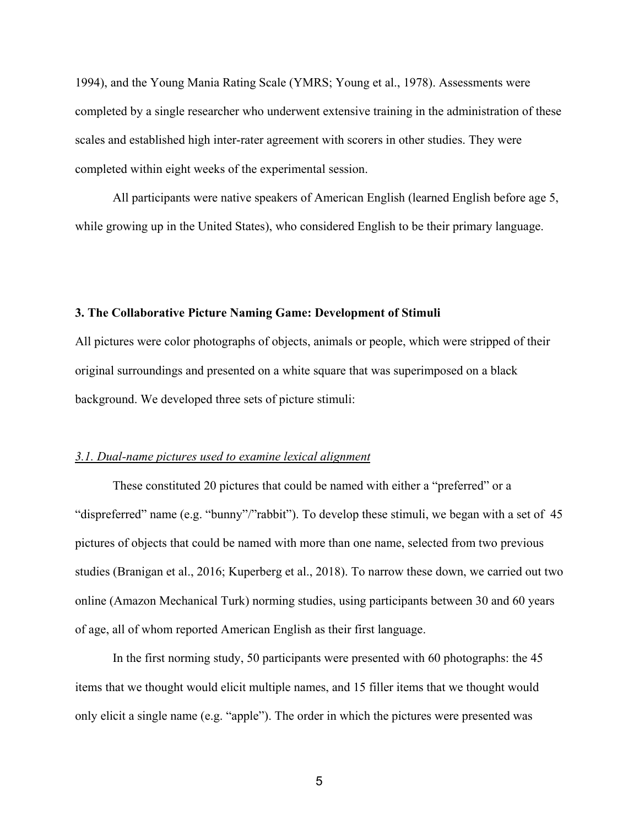1994), and the Young Mania Rating Scale (YMRS; Young et al., 1978). Assessments were completed by a single researcher who underwent extensive training in the administration of these scales and established high inter-rater agreement with scorers in other studies. They were completed within eight weeks of the experimental session.

All participants were native speakers of American English (learned English before age 5, while growing up in the United States), who considered English to be their primary language.

### **3. The Collaborative Picture Naming Game: Development of Stimuli**

All pictures were color photographs of objects, animals or people, which were stripped of their original surroundings and presented on a white square that was superimposed on a black background. We developed three sets of picture stimuli:

#### *3.1. Dual-name pictures used to examine lexical alignment*

These constituted 20 pictures that could be named with either a "preferred" or a "dispreferred" name (e.g. "bunny"/"rabbit"). To develop these stimuli, we began with a set of 45 pictures of objects that could be named with more than one name, selected from two previous studies (Branigan et al., 2016; Kuperberg et al., 2018). To narrow these down, we carried out two online (Amazon Mechanical Turk) norming studies, using participants between 30 and 60 years of age, all of whom reported American English as their first language.

In the first norming study, 50 participants were presented with 60 photographs: the 45 items that we thought would elicit multiple names, and 15 filler items that we thought would only elicit a single name (e.g. "apple"). The order in which the pictures were presented was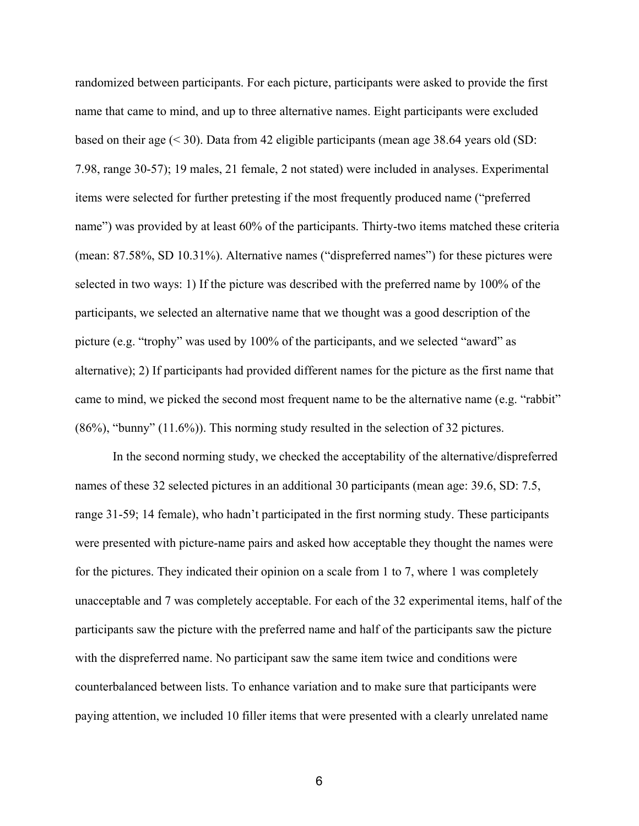randomized between participants. For each picture, participants were asked to provide the first name that came to mind, and up to three alternative names. Eight participants were excluded based on their age (< 30). Data from 42 eligible participants (mean age 38.64 years old (SD: 7.98, range 30-57); 19 males, 21 female, 2 not stated) were included in analyses. Experimental items were selected for further pretesting if the most frequently produced name ("preferred name") was provided by at least 60% of the participants. Thirty-two items matched these criteria (mean: 87.58%, SD 10.31%). Alternative names ("dispreferred names") for these pictures were selected in two ways: 1) If the picture was described with the preferred name by 100% of the participants, we selected an alternative name that we thought was a good description of the picture (e.g. "trophy" was used by 100% of the participants, and we selected "award" as alternative); 2) If participants had provided different names for the picture as the first name that came to mind, we picked the second most frequent name to be the alternative name (e.g. "rabbit" (86%), "bunny" (11.6%)). This norming study resulted in the selection of 32 pictures.

In the second norming study, we checked the acceptability of the alternative/dispreferred names of these 32 selected pictures in an additional 30 participants (mean age: 39.6, SD: 7.5, range 31-59; 14 female), who hadn't participated in the first norming study. These participants were presented with picture-name pairs and asked how acceptable they thought the names were for the pictures. They indicated their opinion on a scale from 1 to 7, where 1 was completely unacceptable and 7 was completely acceptable. For each of the 32 experimental items, half of the participants saw the picture with the preferred name and half of the participants saw the picture with the dispreferred name. No participant saw the same item twice and conditions were counterbalanced between lists. To enhance variation and to make sure that participants were paying attention, we included 10 filler items that were presented with a clearly unrelated name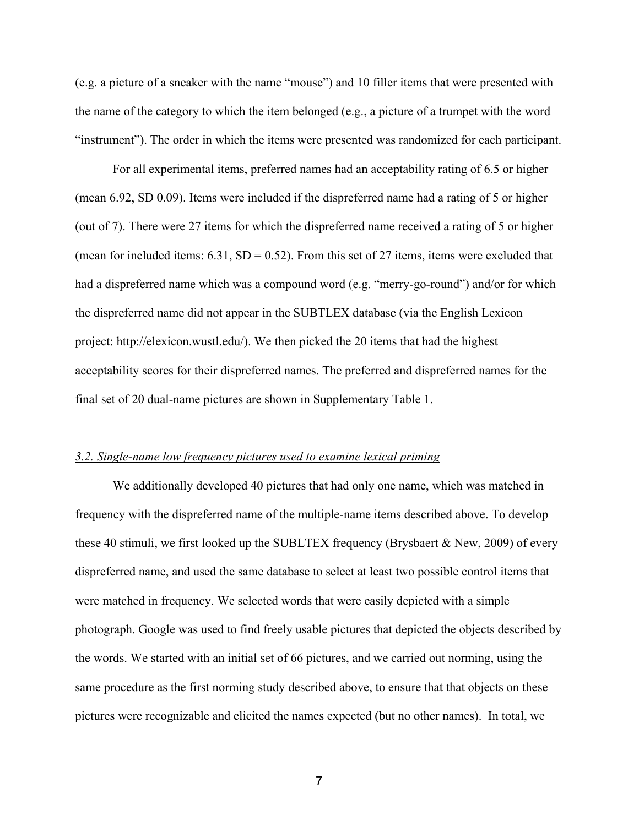(e.g. a picture of a sneaker with the name "mouse") and 10 filler items that were presented with the name of the category to which the item belonged (e.g., a picture of a trumpet with the word "instrument"). The order in which the items were presented was randomized for each participant.

For all experimental items, preferred names had an acceptability rating of 6.5 or higher (mean 6.92, SD 0.09). Items were included if the dispreferred name had a rating of 5 or higher (out of 7). There were 27 items for which the dispreferred name received a rating of 5 or higher (mean for included items:  $6.31$ , SD = 0.52). From this set of 27 items, items were excluded that had a dispreferred name which was a compound word (e.g. "merry-go-round") and/or for which the dispreferred name did not appear in the SUBTLEX database (via the English Lexicon project: http://elexicon.wustl.edu/). We then picked the 20 items that had the highest acceptability scores for their dispreferred names. The preferred and dispreferred names for the final set of 20 dual-name pictures are shown in Supplementary Table 1.

#### *3.2. Single-name low frequency pictures used to examine lexical priming*

We additionally developed 40 pictures that had only one name, which was matched in frequency with the dispreferred name of the multiple-name items described above. To develop these 40 stimuli, we first looked up the SUBLTEX frequency (Brysbaert & New, 2009) of every dispreferred name, and used the same database to select at least two possible control items that were matched in frequency. We selected words that were easily depicted with a simple photograph. Google was used to find freely usable pictures that depicted the objects described by the words. We started with an initial set of 66 pictures, and we carried out norming, using the same procedure as the first norming study described above, to ensure that that objects on these pictures were recognizable and elicited the names expected (but no other names). In total, we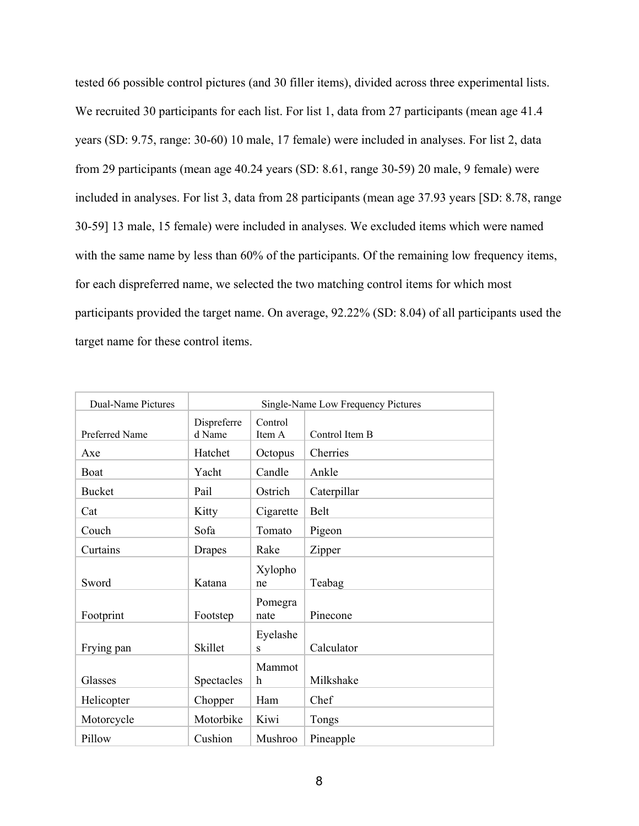tested 66 possible control pictures (and 30 filler items), divided across three experimental lists. We recruited 30 participants for each list. For list 1, data from 27 participants (mean age 41.4) years (SD: 9.75, range: 30-60) 10 male, 17 female) were included in analyses. For list 2, data from 29 participants (mean age 40.24 years (SD: 8.61, range 30-59) 20 male, 9 female) were included in analyses. For list 3, data from 28 participants (mean age 37.93 years [SD: 8.78, range 30-59] 13 male, 15 female) were included in analyses. We excluded items which were named with the same name by less than 60% of the participants. Of the remaining low frequency items, for each dispreferred name, we selected the two matching control items for which most participants provided the target name. On average, 92.22% (SD: 8.04) of all participants used the target name for these control items.

| Dual-Name Pictures | Single-Name Low Frequency Pictures |                   |                |  |
|--------------------|------------------------------------|-------------------|----------------|--|
| Preferred Name     | Dispreferre<br>d Name              | Control<br>Item A | Control Item B |  |
| Axe                | Hatchet                            | Octopus           | Cherries       |  |
| <b>Boat</b>        | Yacht                              | Candle            | Ankle          |  |
| <b>Bucket</b>      | Pail                               | Ostrich           | Caterpillar    |  |
| Cat                | Kitty                              | Cigarette         | Belt           |  |
| Couch              | Sofa                               | Tomato            | Pigeon         |  |
| Curtains           | Drapes                             | Rake              | Zipper         |  |
| Sword              | Katana                             | Xylopho<br>ne     | Teabag         |  |
| Footprint          | Footstep                           | Pomegra<br>nate   | Pinecone       |  |
| Frying pan         | Skillet                            | Eyelashe<br>S     | Calculator     |  |
| Glasses            | Spectacles                         | Mammot<br>h       | Milkshake      |  |
| Helicopter         | Chopper                            | Ham               | Chef           |  |
| Motorcycle         | Motorbike                          | Kiwi              | Tongs          |  |
| Pillow             | Cushion                            | Mushroo           | Pineapple      |  |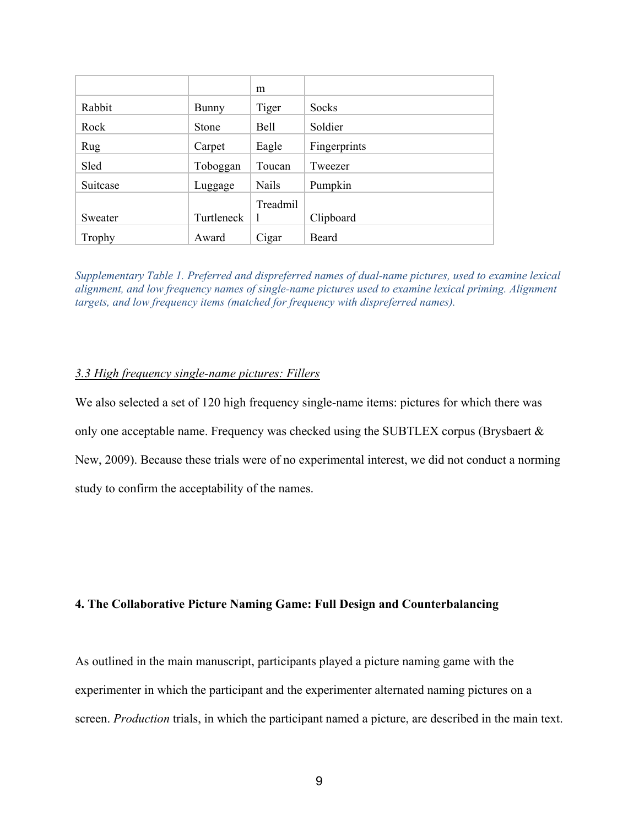|          |              | m            |              |
|----------|--------------|--------------|--------------|
| Rabbit   | Bunny        | Tiger        | Socks        |
| Rock     | <b>Stone</b> | Bell         | Soldier      |
| Rug      | Carpet       | Eagle        | Fingerprints |
| Sled     | Toboggan     | Toucan       | Tweezer      |
| Suitcase | Luggage      | <b>Nails</b> | Pumpkin      |
|          |              | Treadmil     |              |
| Sweater  | Turtleneck   |              | Clipboard    |
| Trophy   | Award        | Cigar        | Beard        |

*Supplementary Table 1. Preferred and dispreferred names of dual-name pictures, used to examine lexical alignment, and low frequency names of single-name pictures used to examine lexical priming. Alignment targets, and low frequency items (matched for frequency with dispreferred names).* 

# *3.3 High frequency single-name pictures: Fillers*

We also selected a set of 120 high frequency single-name items: pictures for which there was only one acceptable name. Frequency was checked using the SUBTLEX corpus (Brysbaert & New, 2009). Because these trials were of no experimental interest, we did not conduct a norming study to confirm the acceptability of the names.

# **4. The Collaborative Picture Naming Game: Full Design and Counterbalancing**

As outlined in the main manuscript, participants played a picture naming game with the experimenter in which the participant and the experimenter alternated naming pictures on a screen. *Production* trials, in which the participant named a picture, are described in the main text.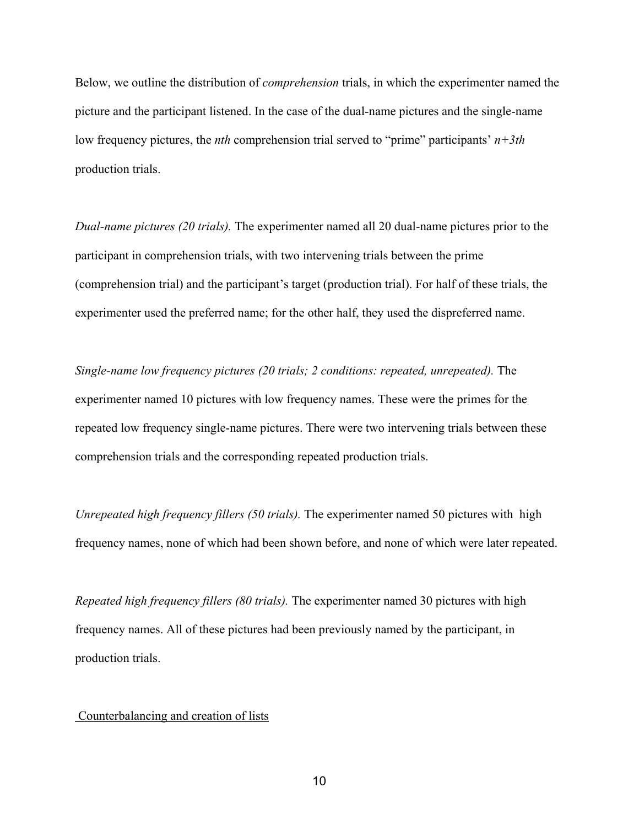Below, we outline the distribution of *comprehension* trials, in which the experimenter named the picture and the participant listened. In the case of the dual-name pictures and the single-name low frequency pictures, the *nth* comprehension trial served to "prime" participants' *n+3th* production trials.

*Dual-name pictures (20 trials).* The experimenter named all 20 dual-name pictures prior to the participant in comprehension trials, with two intervening trials between the prime (comprehension trial) and the participant's target (production trial). For half of these trials, the experimenter used the preferred name; for the other half, they used the dispreferred name.

*Single-name low frequency pictures (20 trials; 2 conditions: repeated, unrepeated).* The experimenter named 10 pictures with low frequency names. These were the primes for the repeated low frequency single-name pictures. There were two intervening trials between these comprehension trials and the corresponding repeated production trials.

*Unrepeated high frequency fillers (50 trials).* The experimenter named 50 pictures with high frequency names, none of which had been shown before, and none of which were later repeated.

*Repeated high frequency fillers (80 trials).* The experimenter named 30 pictures with high frequency names. All of these pictures had been previously named by the participant, in production trials.

#### Counterbalancing and creation of lists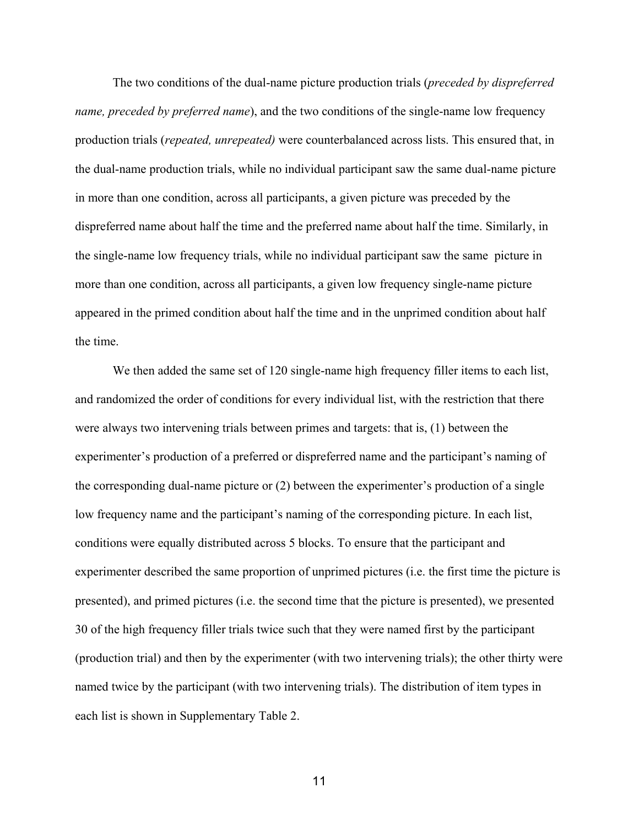The two conditions of the dual-name picture production trials (*preceded by dispreferred name, preceded by preferred name*), and the two conditions of the single-name low frequency production trials (*repeated, unrepeated)* were counterbalanced across lists. This ensured that, in the dual-name production trials, while no individual participant saw the same dual-name picture in more than one condition, across all participants, a given picture was preceded by the dispreferred name about half the time and the preferred name about half the time. Similarly, in the single-name low frequency trials, while no individual participant saw the same picture in more than one condition, across all participants, a given low frequency single-name picture appeared in the primed condition about half the time and in the unprimed condition about half the time.

We then added the same set of 120 single-name high frequency filler items to each list, and randomized the order of conditions for every individual list, with the restriction that there were always two intervening trials between primes and targets: that is, (1) between the experimenter's production of a preferred or dispreferred name and the participant's naming of the corresponding dual-name picture or (2) between the experimenter's production of a single low frequency name and the participant's naming of the corresponding picture. In each list, conditions were equally distributed across 5 blocks. To ensure that the participant and experimenter described the same proportion of unprimed pictures (i.e. the first time the picture is presented), and primed pictures (i.e. the second time that the picture is presented), we presented 30 of the high frequency filler trials twice such that they were named first by the participant (production trial) and then by the experimenter (with two intervening trials); the other thirty were named twice by the participant (with two intervening trials). The distribution of item types in each list is shown in Supplementary Table 2.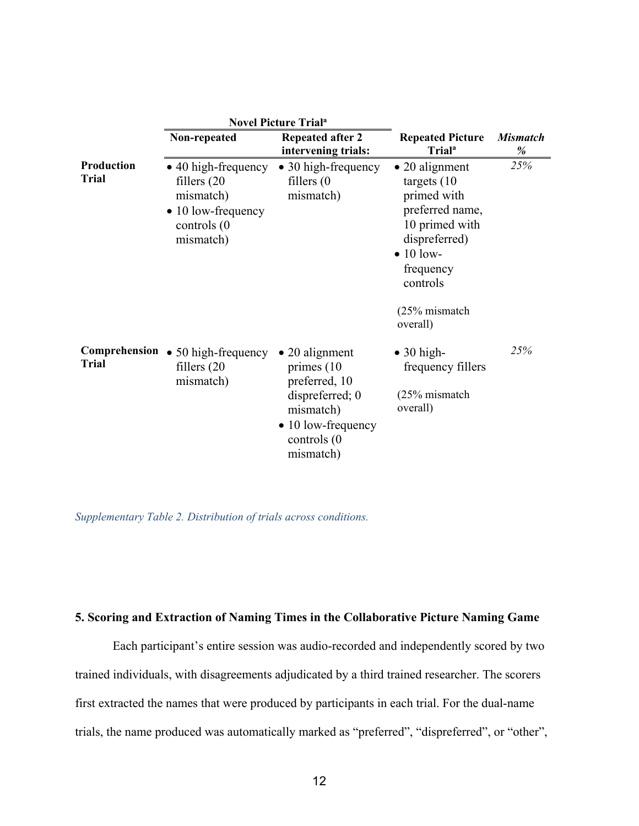|                                   | <b>Novel Picture Trial<sup>a</sup></b>                                                                       |                                                                                                                                                    |                                                                                                                                                                                             |                      |
|-----------------------------------|--------------------------------------------------------------------------------------------------------------|----------------------------------------------------------------------------------------------------------------------------------------------------|---------------------------------------------------------------------------------------------------------------------------------------------------------------------------------------------|----------------------|
|                                   | Non-repeated                                                                                                 | <b>Repeated after 2</b><br>intervening trials:                                                                                                     | <b>Repeated Picture</b><br><b>Trial</b> <sup>a</sup>                                                                                                                                        | <b>Mismatch</b><br>% |
| <b>Production</b><br><b>Trial</b> | • 40 high-frequency<br>fillers $(20)$<br>mismatch)<br>$\bullet$ 10 low-frequency<br>controls (0<br>mismatch) | $\bullet$ 30 high-frequency<br>fillers $(0)$<br>mismatch)                                                                                          | $\bullet$ 20 alignment<br>targets $(10)$<br>primed with<br>preferred name,<br>10 primed with<br>dispreferred)<br>$\bullet$ 10 low-<br>frequency<br>controls<br>$(25\%$ mismatch<br>overall) | 25%                  |
| <b>Trial</b>                      | <b>Comprehension</b> $\bullet$ 50 high-frequency<br>fillers $(20)$<br>mismatch)                              | $\bullet$ 20 alignment<br>primes $(10)$<br>preferred, 10<br>dispreferred; 0<br>mismatch)<br>$\bullet$ 10 low-frequency<br>controls (0<br>mismatch) | $\bullet$ 30 high-<br>frequency fillers<br>$(25\%$ mismatch<br>overall)                                                                                                                     | 25%                  |

*Supplementary Table 2. Distribution of trials across conditions.*

# **5. Scoring and Extraction of Naming Times in the Collaborative Picture Naming Game**

Each participant's entire session was audio-recorded and independently scored by two trained individuals, with disagreements adjudicated by a third trained researcher. The scorers first extracted the names that were produced by participants in each trial. For the dual-name trials, the name produced was automatically marked as "preferred", "dispreferred", or "other",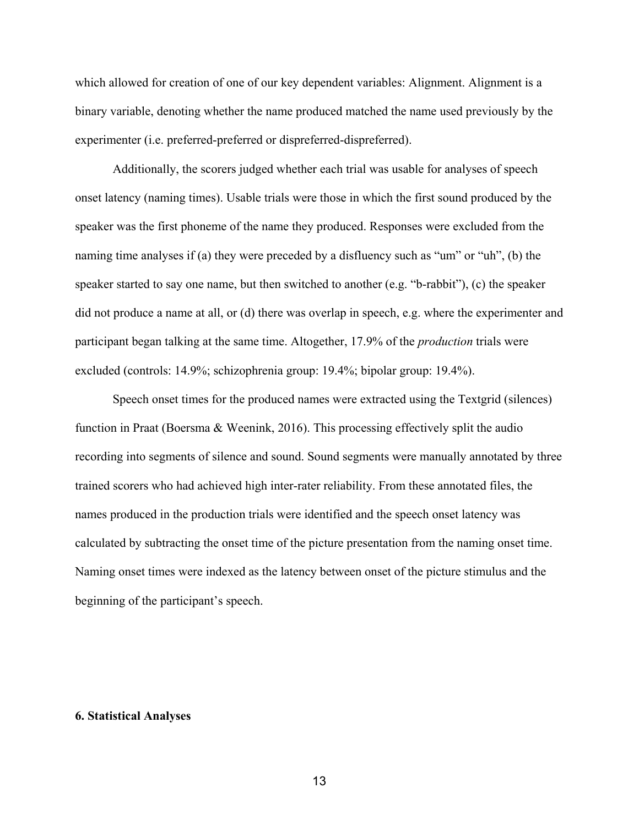which allowed for creation of one of our key dependent variables: Alignment. Alignment is a binary variable, denoting whether the name produced matched the name used previously by the experimenter (i.e. preferred-preferred or dispreferred-dispreferred).

Additionally, the scorers judged whether each trial was usable for analyses of speech onset latency (naming times). Usable trials were those in which the first sound produced by the speaker was the first phoneme of the name they produced. Responses were excluded from the naming time analyses if (a) they were preceded by a disfluency such as "um" or "uh", (b) the speaker started to say one name, but then switched to another (e.g. "b-rabbit"), (c) the speaker did not produce a name at all, or (d) there was overlap in speech, e.g. where the experimenter and participant began talking at the same time. Altogether, 17.9% of the *production* trials were excluded (controls: 14.9%; schizophrenia group: 19.4%; bipolar group: 19.4%).

Speech onset times for the produced names were extracted using the Textgrid (silences) function in Praat (Boersma & Weenink, 2016). This processing effectively split the audio recording into segments of silence and sound. Sound segments were manually annotated by three trained scorers who had achieved high inter-rater reliability. From these annotated files, the names produced in the production trials were identified and the speech onset latency was calculated by subtracting the onset time of the picture presentation from the naming onset time. Naming onset times were indexed as the latency between onset of the picture stimulus and the beginning of the participant's speech.

#### **6. Statistical Analyses**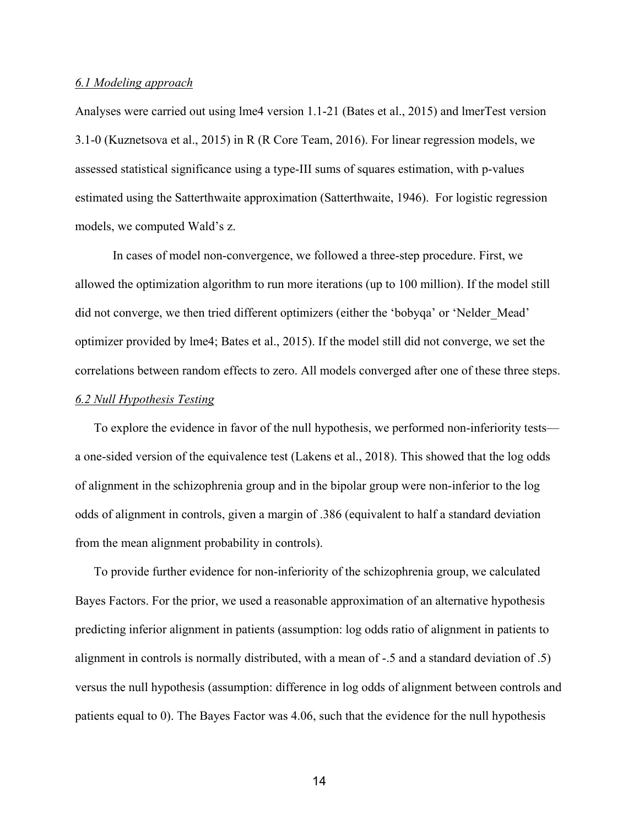#### *6.1 Modeling approach*

Analyses were carried out using lme4 version 1.1-21 (Bates et al., 2015) and lmerTest version 3.1-0 (Kuznetsova et al., 2015) in R (R Core Team, 2016). For linear regression models, we assessed statistical significance using a type-III sums of squares estimation, with p-values estimated using the Satterthwaite approximation (Satterthwaite, 1946). For logistic regression models, we computed Wald's z.

In cases of model non-convergence, we followed a three-step procedure. First, we allowed the optimization algorithm to run more iterations (up to 100 million). If the model still did not converge, we then tried different optimizers (either the 'bobyqa' or 'Nelder\_Mead' optimizer provided by lme4; Bates et al., 2015). If the model still did not converge, we set the correlations between random effects to zero. All models converged after one of these three steps. *6.2 Null Hypothesis Testing*

To explore the evidence in favor of the null hypothesis, we performed non-inferiority tests a one-sided version of the equivalence test (Lakens et al., 2018). This showed that the log odds of alignment in the schizophrenia group and in the bipolar group were non-inferior to the log odds of alignment in controls, given a margin of .386 (equivalent to half a standard deviation from the mean alignment probability in controls).

To provide further evidence for non-inferiority of the schizophrenia group, we calculated Bayes Factors. For the prior, we used a reasonable approximation of an alternative hypothesis predicting inferior alignment in patients (assumption: log odds ratio of alignment in patients to alignment in controls is normally distributed, with a mean of -.5 and a standard deviation of .5) versus the null hypothesis (assumption: difference in log odds of alignment between controls and patients equal to 0). The Bayes Factor was 4.06, such that the evidence for the null hypothesis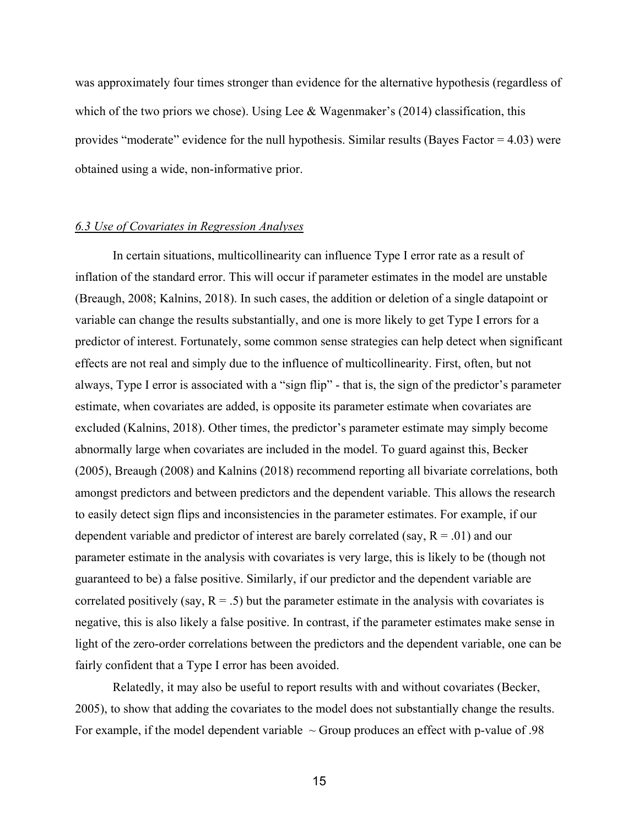was approximately four times stronger than evidence for the alternative hypothesis (regardless of which of the two priors we chose). Using Lee & Wagenmaker's  $(2014)$  classification, this provides "moderate" evidence for the null hypothesis. Similar results (Bayes Factor  $= 4.03$ ) were obtained using a wide, non-informative prior.

## *6.3 Use of Covariates in Regression Analyses*

In certain situations, multicollinearity can influence Type I error rate as a result of inflation of the standard error. This will occur if parameter estimates in the model are unstable (Breaugh, 2008; Kalnins, 2018). In such cases, the addition or deletion of a single datapoint or variable can change the results substantially, and one is more likely to get Type I errors for a predictor of interest. Fortunately, some common sense strategies can help detect when significant effects are not real and simply due to the influence of multicollinearity. First, often, but not always, Type I error is associated with a "sign flip" - that is, the sign of the predictor's parameter estimate, when covariates are added, is opposite its parameter estimate when covariates are excluded (Kalnins, 2018). Other times, the predictor's parameter estimate may simply become abnormally large when covariates are included in the model. To guard against this, Becker (2005), Breaugh (2008) and Kalnins (2018) recommend reporting all bivariate correlations, both amongst predictors and between predictors and the dependent variable. This allows the research to easily detect sign flips and inconsistencies in the parameter estimates. For example, if our dependent variable and predictor of interest are barely correlated (say,  $R = .01$ ) and our parameter estimate in the analysis with covariates is very large, this is likely to be (though not guaranteed to be) a false positive. Similarly, if our predictor and the dependent variable are correlated positively (say,  $R = .5$ ) but the parameter estimate in the analysis with covariates is negative, this is also likely a false positive. In contrast, if the parameter estimates make sense in light of the zero-order correlations between the predictors and the dependent variable, one can be fairly confident that a Type I error has been avoided.

Relatedly, it may also be useful to report results with and without covariates (Becker, 2005), to show that adding the covariates to the model does not substantially change the results. For example, if the model dependent variable  $\sim$  Group produces an effect with p-value of .98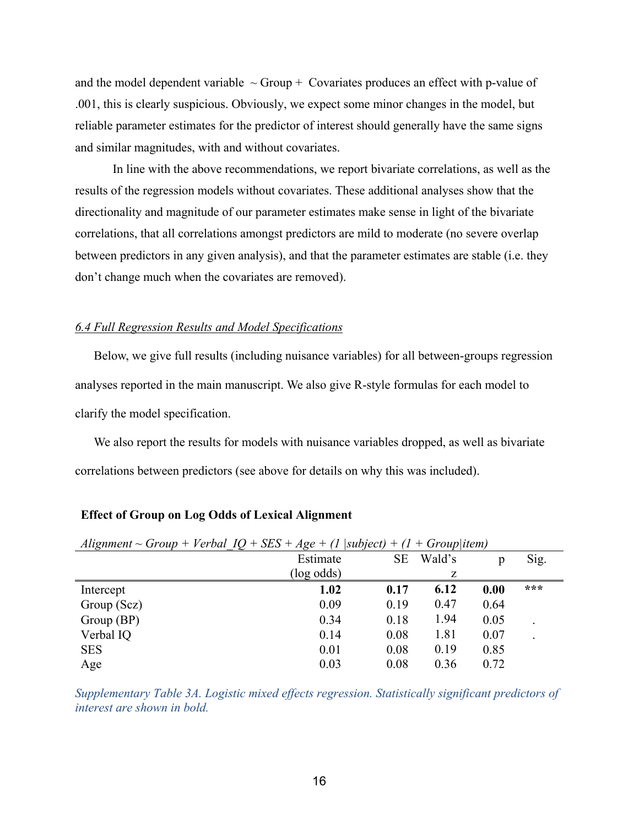and the model dependent variable  $\sim$  Group + Covariates produces an effect with p-value of .001, this is clearly suspicious. Obviously, we expect some minor changes in the model, but reliable parameter estimates for the predictor of interest should generally have the same signs and similar magnitudes, with and without covariates.

In line with the above recommendations, we report bivariate correlations, as well as the results of the regression models without covariates. These additional analyses show that the directionality and magnitude of our parameter estimates make sense in light of the bivariate correlations, that all correlations amongst predictors are mild to moderate (no severe overlap between predictors in any given analysis), and that the parameter estimates are stable (i.e. they don't change much when the covariates are removed).

#### *6.4 Full Regression Results and Model Specifications*

Below, we give full results (including nuisance variables) for all between-groups regression analyses reported in the main manuscript. We also give R-style formulas for each model to clarify the model specification.

We also report the results for models with nuisance variables dropped, as well as bivariate correlations between predictors (see above for details on why this was included).

| Alignment ~ Group + Verbal $IQ + SES + Age + (1   subject) + (1 + Group item)$ |            |           |        |      |      |  |  |  |
|--------------------------------------------------------------------------------|------------|-----------|--------|------|------|--|--|--|
|                                                                                | Estimate   | <b>SE</b> | Wald's | p    | Sig. |  |  |  |
|                                                                                | (log odds) |           | Ζ      |      |      |  |  |  |
| Intercept                                                                      | 1.02       | 0.17      | 6.12   | 0.00 | ***  |  |  |  |
| Group (Scz)                                                                    | 0.09       | 0.19      | 0.47   | 0.64 |      |  |  |  |
| Group (BP)                                                                     | 0.34       | 0.18      | 1.94   | 0.05 |      |  |  |  |
| Verbal IQ                                                                      | 0.14       | 0.08      | 1.81   | 0.07 |      |  |  |  |
| <b>SES</b>                                                                     | 0.01       | 0.08      | 0.19   | 0.85 |      |  |  |  |
| Age                                                                            | 0.03       | 0.08      | 0.36   | 0.72 |      |  |  |  |

### **Effect of Group on Log Odds of Lexical Alignment**

*Supplementary Table 3A. Logistic mixed effects regression. Statistically significant predictors of interest are shown in bold.*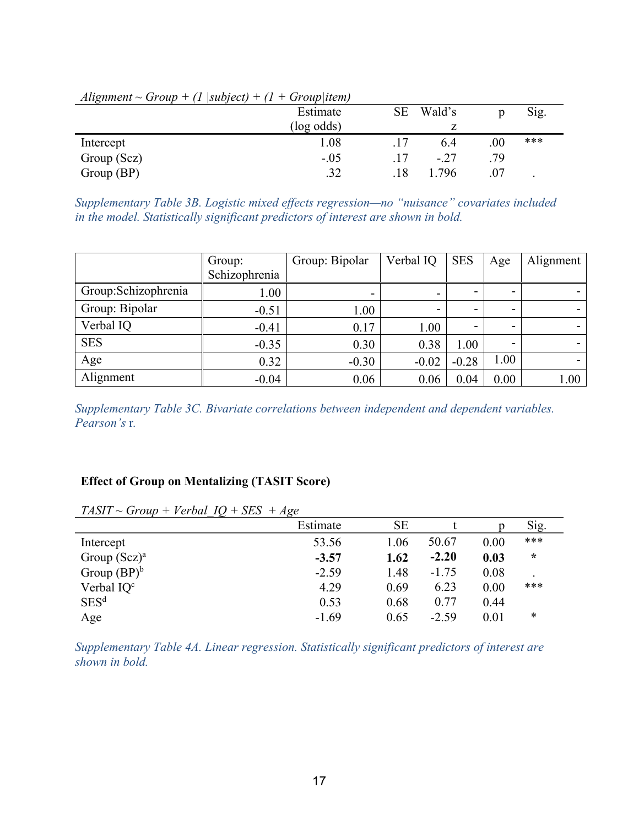| $\cdots$<br>$\sim$ $\sim$ $\sim$ $\sim$ $\sim$ | 100001<br>$U \cup V \cup V \cup V \cup V$ |     |        |         |      |
|------------------------------------------------|-------------------------------------------|-----|--------|---------|------|
|                                                | Estimate                                  | SE  | Wald's |         | Sig. |
|                                                | $(\log \text{odds})$                      |     |        |         |      |
| Intercept                                      | 1.08                                      |     | 6.4    | $.00\,$ | ***  |
| Group (Scz)                                    | $-.05$                                    |     | $-.27$ | .79     |      |
| Group(BP)                                      | 20<br>ے ر                                 | .18 | 796    |         |      |

 $Ali\varphi$  *Alignment ~ Group + (1 |subject) + (1 + Group|item)* 

*Supplementary Table 3B. Logistic mixed effects regression—no "nuisance" covariates included in the model. Statistically significant predictors of interest are shown in bold.*

|                     | Group:        | Group: Bipolar | Verbal IQ | <b>SES</b>               | Age  | Alignment |
|---------------------|---------------|----------------|-----------|--------------------------|------|-----------|
|                     | Schizophrenia |                |           |                          |      |           |
| Group:Schizophrenia | 1.00          | ۰              | -         | $\overline{\phantom{0}}$ | ۰    |           |
| Group: Bipolar      | $-0.51$       | 1.00           | -         | $\overline{\phantom{0}}$ | -    |           |
| Verbal IQ           | $-0.41$       | 0.17           | 1.00      | $\overline{\phantom{0}}$ | -    |           |
| <b>SES</b>          | $-0.35$       | 0.30           | 0.38      | 1.00                     |      |           |
| Age                 | 0.32          | $-0.30$        | $-0.02$   | $-0.28$                  | 1.00 |           |
| Alignment           | $-0.04$       | 0.06           | 0.06      | 0.04                     | 0.00 | 1.00      |

*Supplementary Table 3C. Bivariate correlations between independent and dependent variables. Pearson's* r*.* 

# **Effect of Group on Mentalizing (TASIT Score)**

| $TAST \sim Group + Verbal$ IQ + SES + Age |          |           |         |      |        |
|-------------------------------------------|----------|-----------|---------|------|--------|
|                                           | Estimate | <b>SE</b> |         | p    | Sig.   |
| Intercept                                 | 53.56    | 1.06      | 50.67   | 0.00 | ***    |
| Group $(Scz)^a$                           | $-3.57$  | 1.62      | $-2.20$ | 0.03 | $\ast$ |
| Group $(BP)^b$                            | $-2.59$  | 1.48      | $-1.75$ | 0.08 |        |
| Verbal IQ <sup>c</sup>                    | 4.29     | 0.69      | 6.23    | 0.00 | ***    |
| SES <sup>d</sup>                          | 0.53     | 0.68      | 0.77    | 0.44 |        |
| Age                                       | $-1.69$  | 0.65      | $-2.59$ | 0.01 | *      |

*Supplementary Table 4A. Linear regression. Statistically significant predictors of interest are shown in bold.*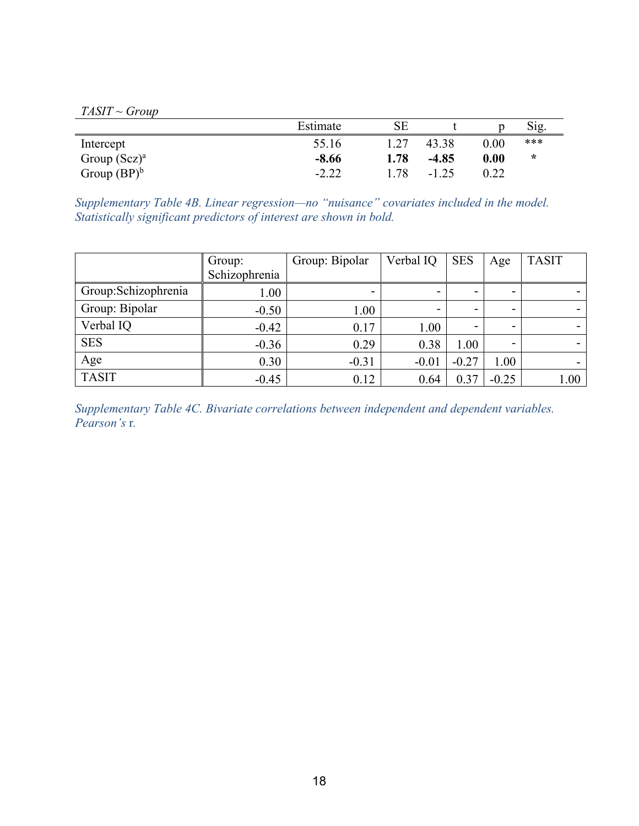*TASIT ~ Group* 

|                 | Estimate | $\rm SE$ |         |          | Sig.   |
|-----------------|----------|----------|---------|----------|--------|
| Intercept       | 55.16    | 1.27     | 43.38   | $0.00\,$ | ***    |
| Group $(Scz)^a$ | $-8.66$  | 1.78     | $-4.85$ | 0.00     | $\ast$ |
| Group $(BP)^b$  | $-2.22$  | .78      | $-1.25$ |          |        |

*Supplementary Table 4B. Linear regression—no "nuisance" covariates included in the model. Statistically significant predictors of interest are shown in bold.*

|                     | Group:        | Group: Bipolar | Verbal IQ | <b>SES</b>               | Age     | <b>TASIT</b> |
|---------------------|---------------|----------------|-----------|--------------------------|---------|--------------|
|                     | Schizophrenia |                |           |                          |         |              |
| Group:Schizophrenia | 1.00          | -              | -         | -                        | ۰       |              |
| Group: Bipolar      | $-0.50$       | 1.00           | -         | $\overline{\phantom{a}}$ | -       |              |
| Verbal IQ           | $-0.42$       | 0.17           | 1.00      | $\overline{\phantom{a}}$ | -       |              |
| <b>SES</b>          | $-0.36$       | 0.29           | 0.38      | 1.00                     |         |              |
| Age                 | 0.30          | $-0.31$        | $-0.01$   | $-0.27$                  | 1.00    |              |
| <b>TASIT</b>        | $-0.45$       | 0.12           | 0.64      | 0.37                     | $-0.25$ | 1.00         |

*Supplementary Table 4C. Bivariate correlations between independent and dependent variables. Pearson's* r*.*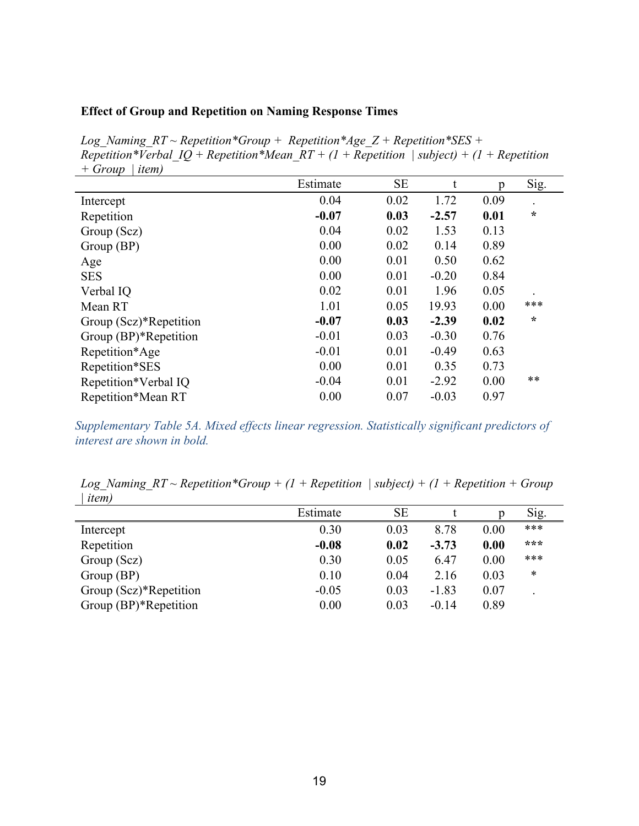# **Effect of Group and Repetition on Naming Response Times**

*Log\_Naming\_RT ~ Repetition\*Group + Repetition\*Age\_Z + Repetition\*SES +*   $Repetition*Verbal$  IQ + Repetition\*Mean  $RT + (1 + Repetition)$  | subject) + (1 + Repetition *+ Group | item)*

|                        | Estimate | <b>SE</b> | t       | p    | Sig.    |
|------------------------|----------|-----------|---------|------|---------|
| Intercept              | 0.04     | 0.02      | 1.72    | 0.09 |         |
| Repetition             | $-0.07$  | 0.03      | $-2.57$ | 0.01 | $\star$ |
| Group (Scz)            | 0.04     | 0.02      | 1.53    | 0.13 |         |
| Group(BP)              | 0.00     | 0.02      | 0.14    | 0.89 |         |
| Age                    | 0.00     | 0.01      | 0.50    | 0.62 |         |
| <b>SES</b>             | 0.00     | 0.01      | $-0.20$ | 0.84 |         |
| Verbal IQ              | 0.02     | 0.01      | 1.96    | 0.05 |         |
| Mean RT                | 1.01     | 0.05      | 19.93   | 0.00 | ***     |
| Group (Scz)*Repetition | $-0.07$  | 0.03      | $-2.39$ | 0.02 | ∗       |
| Group (BP)*Repetition  | $-0.01$  | 0.03      | $-0.30$ | 0.76 |         |
| Repetition*Age         | $-0.01$  | 0.01      | $-0.49$ | 0.63 |         |
| Repetition*SES         | 0.00     | 0.01      | 0.35    | 0.73 |         |
| Repetition*Verbal IQ   | $-0.04$  | 0.01      | $-2.92$ | 0.00 | **      |
| Repetition*Mean RT     | 0.00     | 0.07      | $-0.03$ | 0.97 |         |

*Supplementary Table 5A. Mixed effects linear regression. Statistically significant predictors of interest are shown in bold.* 

*Log* Naming  $RT \sim Repetition*Group + (1 + Repetition | subject) + (1 + Repetition + Group$ *| item)*

|                        | Estimate | <b>SE</b> |         | D    | Sig.   |
|------------------------|----------|-----------|---------|------|--------|
| Intercept              | 0.30     | 0.03      | 8.78    | 0.00 | ***    |
| Repetition             | $-0.08$  | 0.02      | $-3.73$ | 0.00 | ***    |
| Group $(Scz)$          | 0.30     | 0.05      | 6.47    | 0.00 | ***    |
| Group(BP)              | 0.10     | 0.04      | 2.16    | 0.03 | $\ast$ |
| Group (Scz)*Repetition | $-0.05$  | 0.03      | $-1.83$ | 0.07 |        |
| Group (BP)*Repetition  | 0.00     | 0.03      | $-0.14$ | 0.89 |        |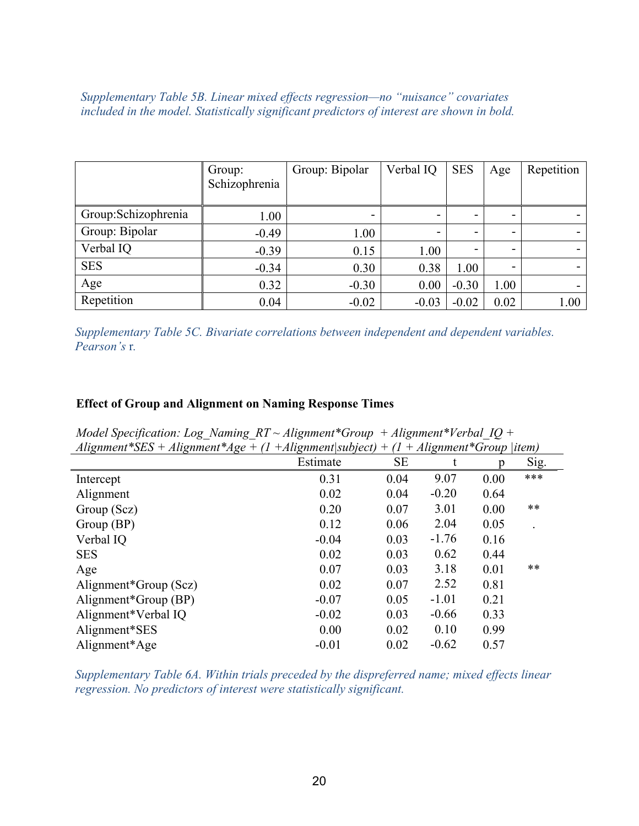*Supplementary Table 5B. Linear mixed effects regression—no "nuisance" covariates included in the model. Statistically significant predictors of interest are shown in bold.*

|                     | Group:<br>Schizophrenia | Group: Bipolar | Verbal IQ | <b>SES</b>               | Age  | Repetition |
|---------------------|-------------------------|----------------|-----------|--------------------------|------|------------|
| Group:Schizophrenia | 1.00                    | -              | -         | -                        | -    |            |
| Group: Bipolar      | $-0.49$                 | 1.00           | -         | $\overline{\phantom{0}}$ | -    | -          |
| Verbal IQ           | $-0.39$                 | 0.15           | 1.00      | -                        | -    | -          |
| <b>SES</b>          | $-0.34$                 | 0.30           | 0.38      | 1.00                     |      |            |
| Age                 | 0.32                    | $-0.30$        | 0.00      | $-0.30$                  | 1.00 | -          |
| Repetition          | 0.04                    | $-0.02$        | $-0.03$   | $-0.02$                  | 0.02 | 1.00       |

*Supplementary Table 5C. Bivariate correlations between independent and dependent variables. Pearson's* r*.*

# **Effect of Group and Alignment on Naming Response Times**

*Model Specification: Log\_Naming\_RT ~ Alignment\*Group + Alignment\*Verbal\_IQ + Alignment\*SES + Alignment\*Age + (1 +Alignment|subject) + (1 + Alignment\*Group |item)*

|                       | Estimate | <b>SE</b> |         | p    | Sig.  |
|-----------------------|----------|-----------|---------|------|-------|
| Intercept             | 0.31     | 0.04      | 9.07    | 0.00 | ***   |
| Alignment             | 0.02     | 0.04      | $-0.20$ | 0.64 |       |
| Group (Scz)           | 0.20     | 0.07      | 3.01    | 0.00 | $***$ |
| Group (BP)            | 0.12     | 0.06      | 2.04    | 0.05 |       |
| Verbal IQ             | $-0.04$  | 0.03      | $-1.76$ | 0.16 |       |
| <b>SES</b>            | 0.02     | 0.03      | 0.62    | 0.44 |       |
| Age                   | 0.07     | 0.03      | 3.18    | 0.01 | $***$ |
| Alignment*Group (Scz) | 0.02     | 0.07      | 2.52    | 0.81 |       |
| Alignment*Group (BP)  | $-0.07$  | 0.05      | $-1.01$ | 0.21 |       |
| Alignment*Verbal IQ   | $-0.02$  | 0.03      | $-0.66$ | 0.33 |       |
| Alignment*SES         | 0.00     | 0.02      | 0.10    | 0.99 |       |
| Alignment*Age         | $-0.01$  | 0.02      | $-0.62$ | 0.57 |       |

*Supplementary Table 6A. Within trials preceded by the dispreferred name; mixed effects linear regression. No predictors of interest were statistically significant.*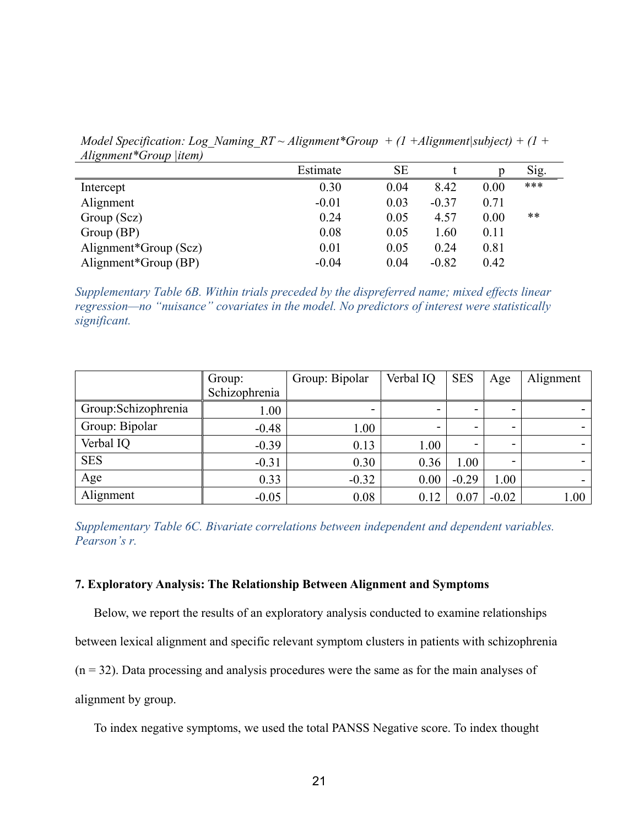|                       | Estimate | <b>SE</b> |         | Ŋ    | Sig. |
|-----------------------|----------|-----------|---------|------|------|
| Intercept             | 0.30     | 0.04      | 8.42    | 0.00 | ***  |
| Alignment             | $-0.01$  | 0.03      | $-0.37$ | 0.71 |      |
| Group $(Scz)$         | 0.24     | 0.05      | 4.57    | 0.00 | **   |
| Group(BP)             | 0.08     | 0.05      | 1.60    | 0.11 |      |
| Alignment*Group (Scz) | 0.01     | 0.05      | 0.24    | 0.81 |      |
| Alignment*Group (BP)  | $-0.04$  | 0.04      | $-0.82$ | 0.42 |      |

*Model Specification: Log\_Naming\_RT ~ Alignment\*Group + (1 +Alignment|subject) + (1 +*  $\overline{a}$ *Alignment\*Group |item)*

*Supplementary Table 6B. Within trials preceded by the dispreferred name; mixed effects linear regression—no "nuisance" covariates in the model. No predictors of interest were statistically significant.*

|                     | Group:        | Group: Bipolar | Verbal IQ | <b>SES</b> | Age     | Alignment |
|---------------------|---------------|----------------|-----------|------------|---------|-----------|
|                     | Schizophrenia |                |           |            |         |           |
| Group:Schizophrenia | 1.00          | -              |           | -          | -       |           |
| Group: Bipolar      | $-0.48$       | 1.00           |           | -          | -       |           |
| Verbal IQ           | $-0.39$       | 0.13           | 1.00      | -          | -       |           |
| <b>SES</b>          | $-0.31$       | 0.30           | 0.36      | 1.00       | -       | -         |
| Age                 | 0.33          | $-0.32$        | 0.00      | $-0.29$    | 1.00    |           |
| Alignment           | $-0.05$       | 0.08           | 0.12      | 0.07       | $-0.02$ | 1.00      |

*Supplementary Table 6C. Bivariate correlations between independent and dependent variables. Pearson's r.* 

## **7. Exploratory Analysis: The Relationship Between Alignment and Symptoms**

Below, we report the results of an exploratory analysis conducted to examine relationships

between lexical alignment and specific relevant symptom clusters in patients with schizophrenia

 $(n = 32)$ . Data processing and analysis procedures were the same as for the main analyses of

alignment by group.

To index negative symptoms, we used the total PANSS Negative score. To index thought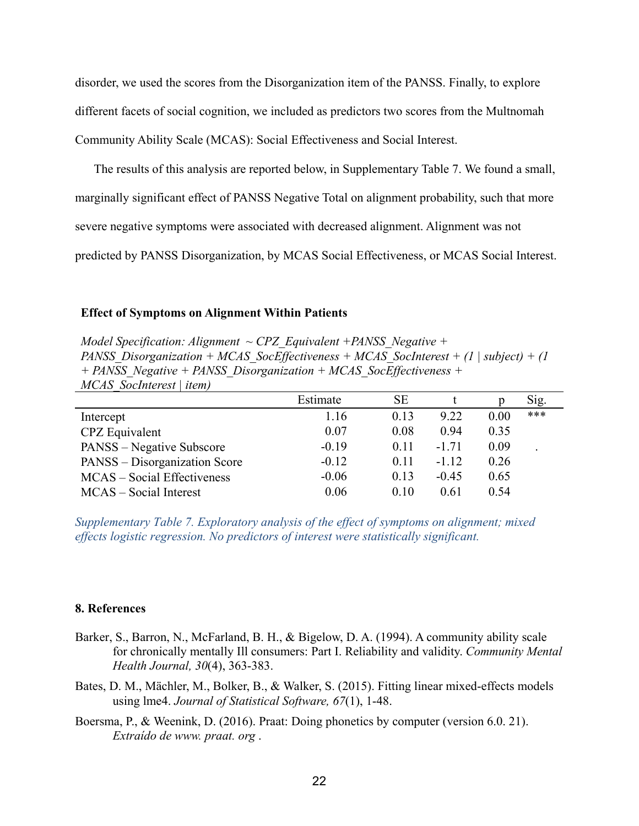disorder, we used the scores from the Disorganization item of the PANSS. Finally, to explore different facets of social cognition, we included as predictors two scores from the Multnomah Community Ability Scale (MCAS): Social Effectiveness and Social Interest.

The results of this analysis are reported below, in Supplementary Table 7. We found a small, marginally significant effect of PANSS Negative Total on alignment probability, such that more severe negative symptoms were associated with decreased alignment. Alignment was not predicted by PANSS Disorganization, by MCAS Social Effectiveness, or MCAS Social Interest.

## **Effect of Symptoms on Alignment Within Patients**

*Model Specification: Alignment ~ CPZ\_Equivalent +PANSS\_Negative + PANSS\_Disorganization + MCAS\_SocEffectiveness + MCAS\_SocInterest + (1 | subject) + (1 + PANSS\_Negative + PANSS\_Disorganization + MCAS\_SocEffectiveness + MCAS\_SocInterest | item)*

|                                  | Estimate | <b>SE</b> |         |      | Sig. |
|----------------------------------|----------|-----------|---------|------|------|
| Intercept                        | 1.16     | 0.13      | 9.22    | 0.00 | ***  |
| CPZ Equivalent                   | 0.07     | 0.08      | 0.94    | 0.35 |      |
| <b>PANSS</b> – Negative Subscore | $-0.19$  | 0.11      | $-1.71$ | 0.09 |      |
| PANSS - Disorganization Score    | $-0.12$  | 0.11      | $-1.12$ | 0.26 |      |
| MCAS – Social Effectiveness      | $-0.06$  | 0.13      | $-0.45$ | 0.65 |      |
| MCAS – Social Interest           | 0.06     | 0.10      | 0.61    | 0.54 |      |

*Supplementary Table 7. Exploratory analysis of the effect of symptoms on alignment; mixed effects logistic regression. No predictors of interest were statistically significant.* 

## **8. References**

- Barker, S., Barron, N., McFarland, B. H., & Bigelow, D. A. (1994). A community ability scale for chronically mentally Ill consumers: Part I. Reliability and validity. *Community Mental Health Journal, 30*(4), 363-383.
- Bates, D. M., Mächler, M., Bolker, B., & Walker, S. (2015). Fitting linear mixed-effects models using lme4. *Journal of Statistical Software, 67*(1), 1-48.
- Boersma, P., & Weenink, D. (2016). Praat: Doing phonetics by computer (version 6.0. 21). *Extraído de www. praat. org* .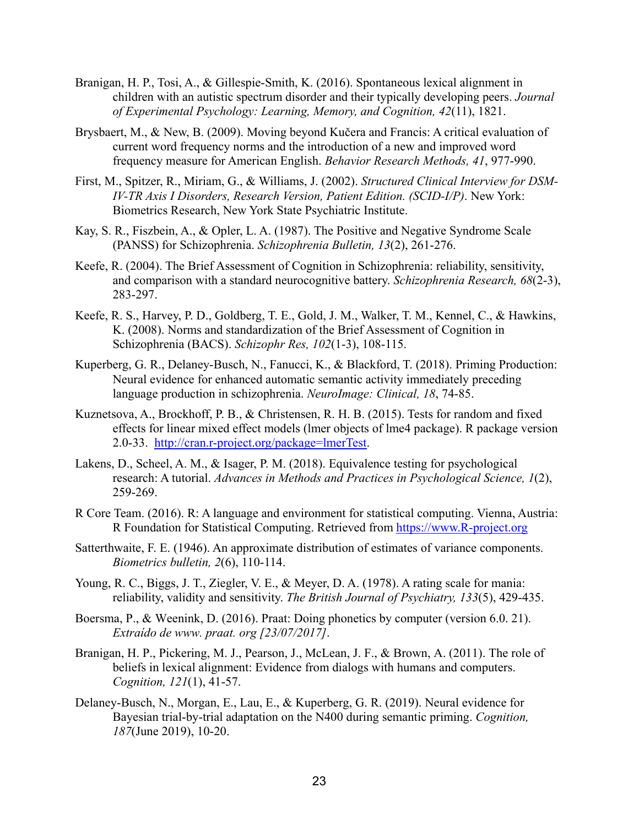- Branigan, H. P., Tosi, A., & Gillespie-Smith, K. (2016). Spontaneous lexical alignment in children with an autistic spectrum disorder and their typically developing peers. *Journal of Experimental Psychology: Learning, Memory, and Cognition, 42*(11), 1821.
- Brysbaert, M., & New, B. (2009). Moving beyond Kučera and Francis: A critical evaluation of current word frequency norms and the introduction of a new and improved word frequency measure for American English. *Behavior Research Methods, 41*, 977-990.
- First, M., Spitzer, R., Miriam, G., & Williams, J. (2002). *Structured Clinical Interview for DSM-IV-TR Axis I Disorders, Research Version, Patient Edition. (SCID-I/P)*. New York: Biometrics Research, New York State Psychiatric Institute.
- Kay, S. R., Fiszbein, A., & Opler, L. A. (1987). The Positive and Negative Syndrome Scale (PANSS) for Schizophrenia. *Schizophrenia Bulletin, 13*(2), 261-276.
- Keefe, R. (2004). The Brief Assessment of Cognition in Schizophrenia: reliability, sensitivity, and comparison with a standard neurocognitive battery. *Schizophrenia Research, 68*(2-3), 283-297.
- Keefe, R. S., Harvey, P. D., Goldberg, T. E., Gold, J. M., Walker, T. M., Kennel, C., & Hawkins, K. (2008). Norms and standardization of the Brief Assessment of Cognition in Schizophrenia (BACS). *Schizophr Res, 102*(1-3), 108-115.
- Kuperberg, G. R., Delaney-Busch, N., Fanucci, K., & Blackford, T. (2018). Priming Production: Neural evidence for enhanced automatic semantic activity immediately preceding language production in schizophrenia. *NeuroImage: Clinical, 18*, 74-85.
- Kuznetsova, A., Brockhoff, P. B., & Christensen, R. H. B. (2015). Tests for random and fixed effects for linear mixed effect models (lmer objects of lme4 package). R package version 2.0-33. [http://cran.r-project.org/package=lmerTest.](http://cran.r-project.org/pac)
- Lakens, D., Scheel, A. M., & Isager, P. M. (2018). Equivalence testing for psychological research: A tutorial. *Advances in Methods and Practices in Psychological Science, 1*(2), 259-269.
- R Core Team. (2016). R: A language and environment for statistical computing. Vienna, Austria: R Foundation for Statistical Computing. Retrieved from [https://www.R-project.org](https://www.r-project.org/)
- Satterthwaite, F. E. (1946). An approximate distribution of estimates of variance components. *Biometrics bulletin, 2*(6), 110-114.
- Young, R. C., Biggs, J. T., Ziegler, V. E., & Meyer, D. A. (1978). A rating scale for mania: reliability, validity and sensitivity. *The British Journal of Psychiatry, 133*(5), 429-435.
- Boersma, P., & Weenink, D. (2016). Praat: Doing phonetics by computer (version 6.0. 21). *Extraído de www. praat. org [23/07/2017]*.
- Branigan, H. P., Pickering, M. J., Pearson, J., McLean, J. F., & Brown, A. (2011). The role of beliefs in lexical alignment: Evidence from dialogs with humans and computers. *Cognition, 121*(1), 41-57.
- Delaney-Busch, N., Morgan, E., Lau, E., & Kuperberg, G. R. (2019). Neural evidence for Bayesian trial-by-trial adaptation on the N400 during semantic priming. *Cognition, 187*(June 2019), 10-20.